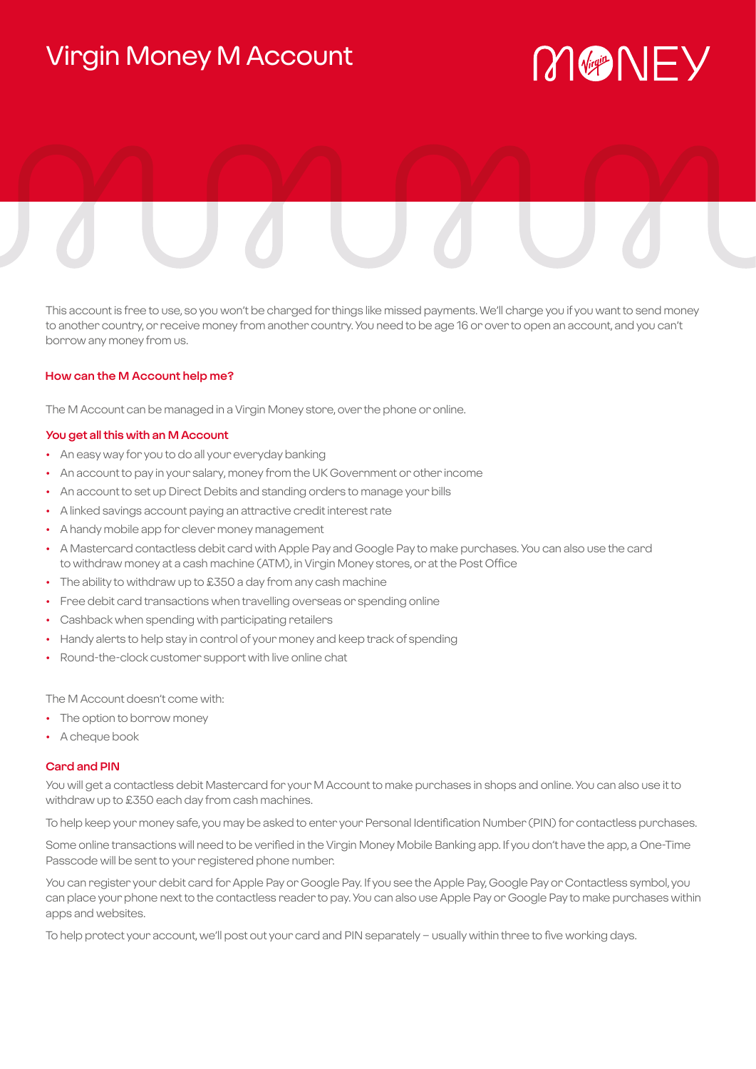# Virgin Money M Account

# MGNEY

This account is free to use, so you won't be charged for things like missed payments. We'll charge you if you want to send money to another country, or receive money from another country. You need to be age 16 or over to open an account, and you can't borrow any money from us.

# **How can the M Account help me?**

The M Account can be managed in a Virgin Money store, over the phone or online.

# **You get all this with an M Account**

- An easy way for you to do all your everyday banking
- An account to pay in your salary, money from the UK Government or other income
- An account to set up Direct Debits and standing orders to manage your bills
- A linked savings account paying an attractive credit interest rate
- A handy mobile app for clever money management
- A Mastercard contactless debit card with Apple Pay and Google Pay to make purchases. You can also use the card to withdraw money at a cash machine (ATM), in Virgin Money stores, or at the Post Office
- The ability to withdraw up to £350 a day from any cash machine
- Free debit card transactions when travelling overseas or spending online
- Cashback when spending with participating retailers
- Handy alerts to help stay in control of your money and keep track of spending
- Round-the-clock customer support with live online chat

The M Account doesn't come with:

- The option to borrow money
- A cheque book

#### **Card and PIN**

You will get a contactless debit Mastercard for your M Account to make purchases in shops and online. You can also use it to withdraw up to £350 each day from cash machines.

To help keep your money safe, you may be asked to enter your Personal Identification Number (PIN) for contactless purchases.

Some online transactions will need to be verified in the Virgin Money Mobile Banking app. If you don't have the app, a One-Time Passcode will be sent to your registered phone number.

You can register your debit card for Apple Pay or Google Pay. If you see the Apple Pay, Google Pay or Contactless symbol, you can place your phone next to the contactless reader to pay. You can also use Apple Pay or Google Pay to make purchases within apps and websites.

To help protect your account, we'll post out your card and PIN separately – usually within three to five working days.